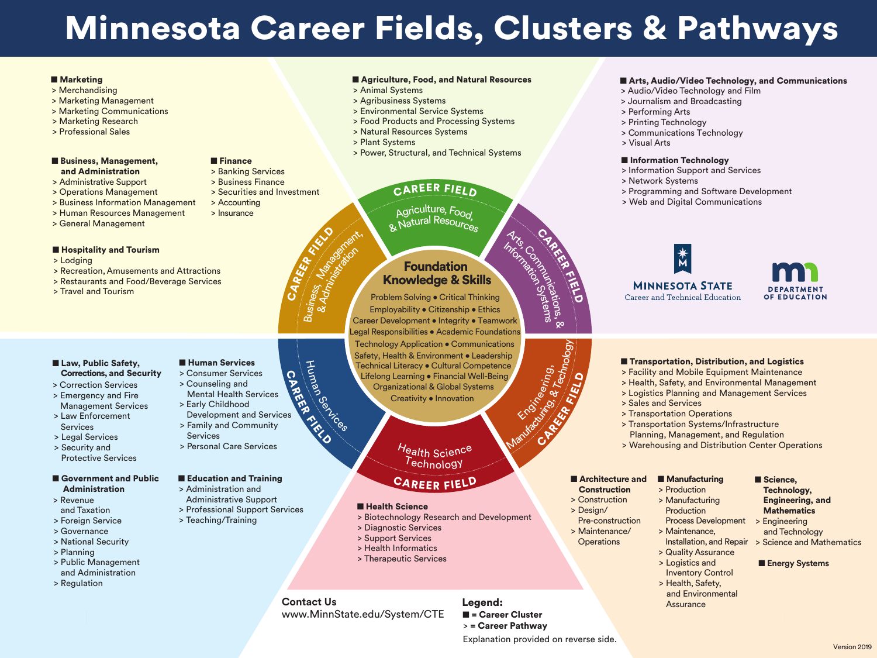> Banking Services > Business Finance

> Securities and Investment

# > Accounting

■ Finance

- > Merchandising
- > Marketing Management
- > Marketing Communications
- > Marketing Research
- > Professional Sales
- Business, Management, and Administration
- > Administrative Support
- > Operations Management
- > Business Information Management
- > Human Resources Management
- > General Management

> Insurance

# ■ Hospitality and Tourism

# ■ Agriculture, Food, and Natural Resources

# ■ Government and Public Administration

- > Lodging
- > Recreation,Amusements and Attractions
- > Restaurants and Food/Beverage Services
- > Travel and Tourism

# ■ Law, Public Safety, Corrections, and Security

- > Consumer Services
- > Counseling and Mental Health Services
- > Early Childhood Development and Services
- > Family and Community **Services**
- > Personal Care Services

# ■ Education and Training

- > Revenue and Taxation
- > Foreign Service
- > Governance
- > National Security
- > Planning
- > Public Management and Administration
- > Regulation

### ■ Human Services

Employability • Citizenship • Ethics Problem Solving • Critical Thinking Career Development • Integrity • Teamwork Technology Application • Communications Legal Responsibilities • Academic Foundations Safety, Health & Environment • Leadership Technical Literacy • Cultural Competence Lifelong Learning · Financial Well-Being Organizational & Global Systems Creativity • Innovation &Administration Arts, Communications, Information Systems Manufacture Rt. Sciening,

*Technology* Health Science

- > Correction Services
- > Emergency and Fire Management Services
- > Law Enforcement **Services**
- > Legal Services
- > Security and Protective Services

- > Administration and Administrative Support
- > Professional Support Services
- > Teaching/Training
- > Production
- > Manufacturing Production
- Process Development > Maintenance,
- Installation, and Repair > Science and Mathematics > Quality Assurance
- > Logistics and Inventory Control
- > Health, Safety, and Environmental **Assurance**
- Science, Technology, Engineering, and **Mathematics**
- > Engineering and Technology
- 
- **Energy Systems**
- > Animal Systems
- > Agribusiness Systems
- > Environmental Service Systems
- > Food Products and Processing Systems
- > Natural Resources Systems
- > Plant Systems
- > Power, Structural, and Technical Systems

# CAREER FIELD

Agriculture, Food & Natural Resources

- > Biotechnology Research and Development
- > Diagnostic Services
- > Support Services
- > Health Informatics
- > Therapeutic Services
- > Audio/Video Technology and Film
- > Journalism and Broadcasting
- > Performing Arts
- > Printing Technology
- > Communications Technology
- > Visual Arts

# ■ Information Technology

■ = Career Cluster > = Career Pathway Legend:

- > Information Support and Services
- > Network Systems
- > Programming and Software Development
- > Web and Digital Communications



# **MINNESOTA STATE**

Career and Technical Education



# ■ Transportation, Distribution, and Logistics

# Foundation Knowledge & Skills

- > Facility and Mobile Equipment Maintenance
- > Health, Safety, and Environmental Management
- > Logistics Planning and Management Services
- > Sales and Services
- > Transportation Operations
- > Transportation Systems/Infrastructure Planning, Management, and Regulation
- > Warehousing and Distribution Center Operations

# ■ Architecture and

- **Construction**
- > Construction
- > Design/
- Pre-construction
- > Maintenance/ **Operations**

# ■ Manufacturing

Explanation provided on reverse side.

# ■ Arts, Audio/Video Technology, and Communications

# Minnesota Career Fields, Clusters & Pathways

### ■ Marketing

&

&T.''<sup>9</sup>'<br>\echnology<br>**'r** 

CAREER CAR

FIELD

FIELD

# CAREER <sup>F</sup>IEL<sup>D</sup>

### ■ Health Science



CAREER

Business<br>Rusiness

FRIED O

Landscort,

CARETY

**Contact Us** www.MinnState.edu/System/CTE